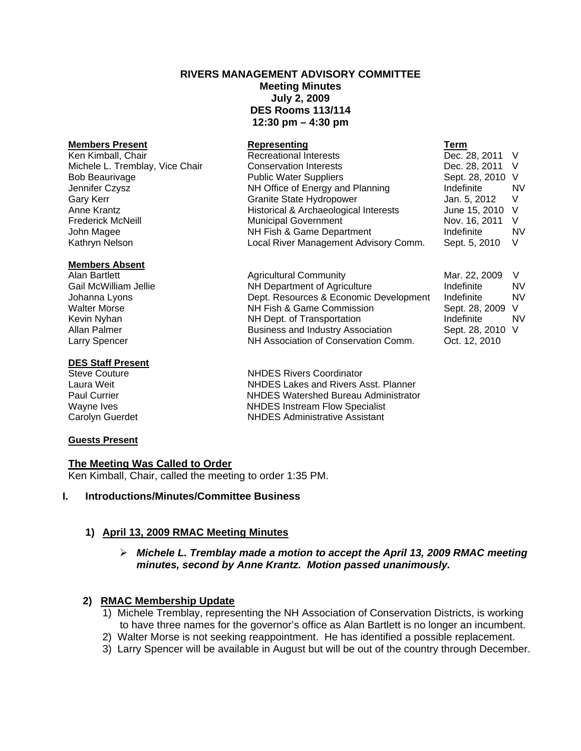# **RIVERS MANAGEMENT ADVISORY COMMITTEE Meeting Minutes July 2, 2009 DES Rooms 113/114 12:30 pm – 4:30 pm**

| <b>Members Present</b>          | Representing                          | Term             |           |
|---------------------------------|---------------------------------------|------------------|-----------|
| Ken Kimball, Chair              | <b>Recreational Interests</b>         | Dec. 28, 2011 V  |           |
| Michele L. Tremblay, Vice Chair | <b>Conservation Interests</b>         | Dec. 28, 2011 V  |           |
| <b>Bob Beaurivage</b>           | <b>Public Water Suppliers</b>         | Sept. 28, 2010 V |           |
| Jennifer Czysz                  | NH Office of Energy and Planning      | Indefinite       | <b>NV</b> |
| Gary Kerr                       | Granite State Hydropower              | Jan. 5, 2012     | - V       |
| Anne Krantz                     | Historical & Archaeological Interests | June 15, 2010 V  |           |
| Frederick McNeill               | <b>Municipal Government</b>           | Nov. 16, 2011    | - V       |
| John Magee                      | NH Fish & Game Department             | Indefinite       | <b>NV</b> |
| Kathryn Nelson                  | Local River Management Advisory Comm. | Sept. 5, 2010    | V         |
|                                 |                                       |                  |           |

#### **Members Absent**

Alan Bartlett **Agricultural Community** Mar. 22, 2009 V

#### **DES Staff Present**

#### **Guests Present**

#### **The Meeting Was Called to Order**

Ken Kimball, Chair, called the meeting to order 1:35 PM.

#### **I. Introductions/Minutes/Committee Business**

## **1) April 13, 2009 RMAC Meeting Minutes**

### ¾ *Michele L. Tremblay made a motion to accept the April 13, 2009 RMAC meeting minutes, second by Anne Krantz. Motion passed unanimously.*

## **2) RMAC Membership Update**

- 1) Michele Tremblay, representing the NH Association of Conservation Districts, is working to have three names for the governor's office as Alan Bartlett is no longer an incumbent.
- 2) Walter Morse is not seeking reappointment. He has identified a possible replacement.
- 3) Larry Spencer will be available in August but will be out of the country through December.

Gail McWilliam Jellie **NH Department of Agriculture** Indefinite NV Johanna Lyons Dept. Resources & Economic Development Indefinite NV Walter Morse **NH Fish & Game Commission** Sept. 28, 2009 V Kevin Nyhan **NH Dept.** of Transportation **Indefinite** NV Allan Palmer **Business and Industry Association** Sept. 28, 2010 V Larry Spencer NH Association of Conservation Comm. Oct. 12, 2010

Steve Couture **NHDES Rivers Coordinator** Laura Weit NHDES Lakes and Rivers Asst. Planner Paul Currier **NHDES** Watershed Bureau Administrator Wayne Ives **NHDES** Instream Flow Specialist Carolyn Guerdet NHDES Administrative Assistant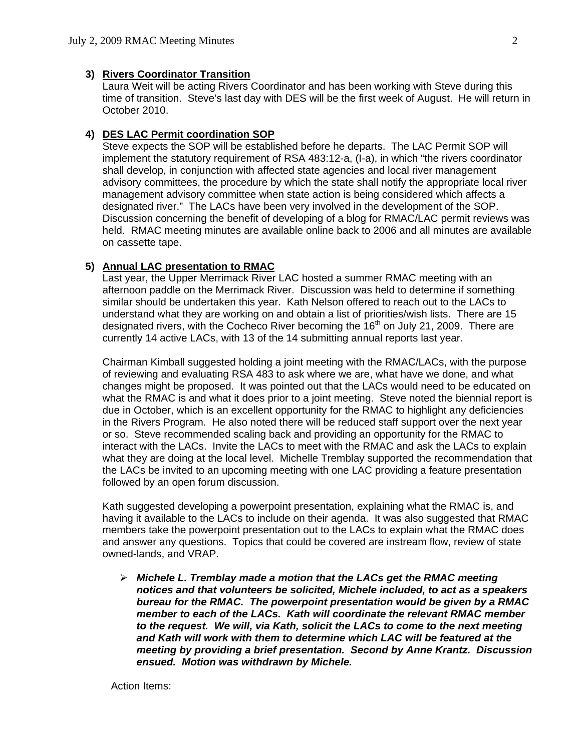#### **3) Rivers Coordinator Transition**

Laura Weit will be acting Rivers Coordinator and has been working with Steve during this time of transition. Steve's last day with DES will be the first week of August. He will return in October 2010.

#### **4) DES LAC Permit coordination SOP**

 Steve expects the SOP will be established before he departs. The LAC Permit SOP will implement the statutory requirement of RSA 483:12-a, (I-a), in which "the rivers coordinator shall develop, in conjunction with affected state agencies and local river management advisory committees, the procedure by which the state shall notify the appropriate local river management advisory committee when state action is being considered which affects a designated river." The LACs have been very involved in the development of the SOP. Discussion concerning the benefit of developing of a blog for RMAC/LAC permit reviews was held. RMAC meeting minutes are available online back to 2006 and all minutes are available on cassette tape.

#### **5) Annual LAC presentation to RMAC**

Last year, the Upper Merrimack River LAC hosted a summer RMAC meeting with an afternoon paddle on the Merrimack River. Discussion was held to determine if something similar should be undertaken this year. Kath Nelson offered to reach out to the LACs to understand what they are working on and obtain a list of priorities/wish lists. There are 15 designated rivers, with the Cocheco River becoming the  $16<sup>th</sup>$  on July 21, 2009. There are currently 14 active LACs, with 13 of the 14 submitting annual reports last year.

Chairman Kimball suggested holding a joint meeting with the RMAC/LACs, with the purpose of reviewing and evaluating RSA 483 to ask where we are, what have we done, and what changes might be proposed. It was pointed out that the LACs would need to be educated on what the RMAC is and what it does prior to a joint meeting. Steve noted the biennial report is due in October, which is an excellent opportunity for the RMAC to highlight any deficiencies in the Rivers Program. He also noted there will be reduced staff support over the next year or so. Steve recommended scaling back and providing an opportunity for the RMAC to interact with the LACs. Invite the LACs to meet with the RMAC and ask the LACs to explain what they are doing at the local level. Michelle Tremblay supported the recommendation that the LACs be invited to an upcoming meeting with one LAC providing a feature presentation followed by an open forum discussion.

Kath suggested developing a powerpoint presentation, explaining what the RMAC is, and having it available to the LACs to include on their agenda. It was also suggested that RMAC members take the powerpoint presentation out to the LACs to explain what the RMAC does and answer any questions. Topics that could be covered are instream flow, review of state owned-lands, and VRAP.

¾ *Michele L. Tremblay made a motion that the LACs get the RMAC meeting notices and that volunteers be solicited, Michele included, to act as a speakers bureau for the RMAC. The powerpoint presentation would be given by a RMAC member to each of the LACs. Kath will coordinate the relevant RMAC member to the request. We will, via Kath, solicit the LACs to come to the next meeting and Kath will work with them to determine which LAC will be featured at the meeting by providing a brief presentation. Second by Anne Krantz. Discussion ensued. Motion was withdrawn by Michele.*

Action Items: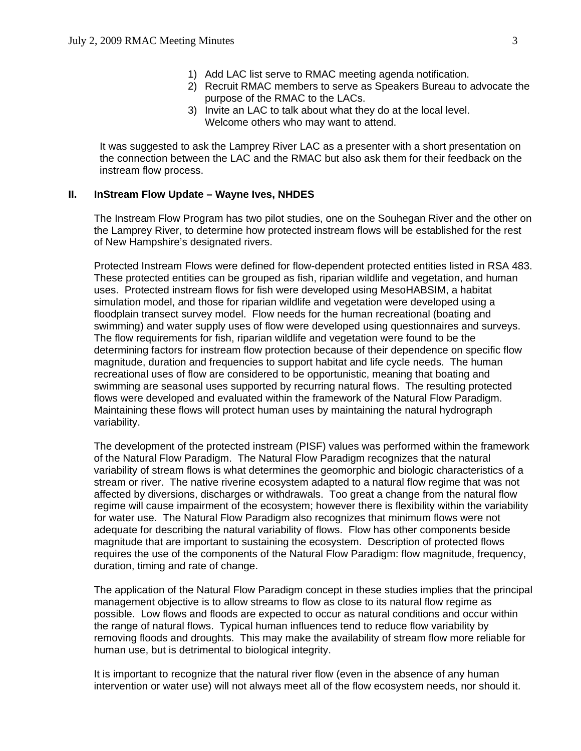- 1) Add LAC list serve to RMAC meeting agenda notification.
- 2) Recruit RMAC members to serve as Speakers Bureau to advocate the purpose of the RMAC to the LACs.
- 3) Invite an LAC to talk about what they do at the local level. Welcome others who may want to attend.

 It was suggested to ask the Lamprey River LAC as a presenter with a short presentation on the connection between the LAC and the RMAC but also ask them for their feedback on the instream flow process.

### **II. InStream Flow Update – Wayne Ives, NHDES**

The Instream Flow Program has two pilot studies, one on the Souhegan River and the other on the Lamprey River, to determine how protected instream flows will be established for the rest of New Hampshire's designated rivers.

Protected Instream Flows were defined for flow-dependent protected entities listed in RSA 483. These protected entities can be grouped as fish, riparian wildlife and vegetation, and human uses. Protected instream flows for fish were developed using MesoHABSIM, a habitat simulation model, and those for riparian wildlife and vegetation were developed using a floodplain transect survey model. Flow needs for the human recreational (boating and swimming) and water supply uses of flow were developed using questionnaires and surveys. The flow requirements for fish, riparian wildlife and vegetation were found to be the determining factors for instream flow protection because of their dependence on specific flow magnitude, duration and frequencies to support habitat and life cycle needs. The human recreational uses of flow are considered to be opportunistic, meaning that boating and swimming are seasonal uses supported by recurring natural flows. The resulting protected flows were developed and evaluated within the framework of the Natural Flow Paradigm. Maintaining these flows will protect human uses by maintaining the natural hydrograph variability.

The development of the protected instream (PISF) values was performed within the framework of the Natural Flow Paradigm. The Natural Flow Paradigm recognizes that the natural variability of stream flows is what determines the geomorphic and biologic characteristics of a stream or river. The native riverine ecosystem adapted to a natural flow regime that was not affected by diversions, discharges or withdrawals. Too great a change from the natural flow regime will cause impairment of the ecosystem; however there is flexibility within the variability for water use. The Natural Flow Paradigm also recognizes that minimum flows were not adequate for describing the natural variability of flows. Flow has other components beside magnitude that are important to sustaining the ecosystem. Description of protected flows requires the use of the components of the Natural Flow Paradigm: flow magnitude, frequency, duration, timing and rate of change.

The application of the Natural Flow Paradigm concept in these studies implies that the principal management objective is to allow streams to flow as close to its natural flow regime as possible. Low flows and floods are expected to occur as natural conditions and occur within the range of natural flows. Typical human influences tend to reduce flow variability by removing floods and droughts. This may make the availability of stream flow more reliable for human use, but is detrimental to biological integrity.

It is important to recognize that the natural river flow (even in the absence of any human intervention or water use) will not always meet all of the flow ecosystem needs, nor should it.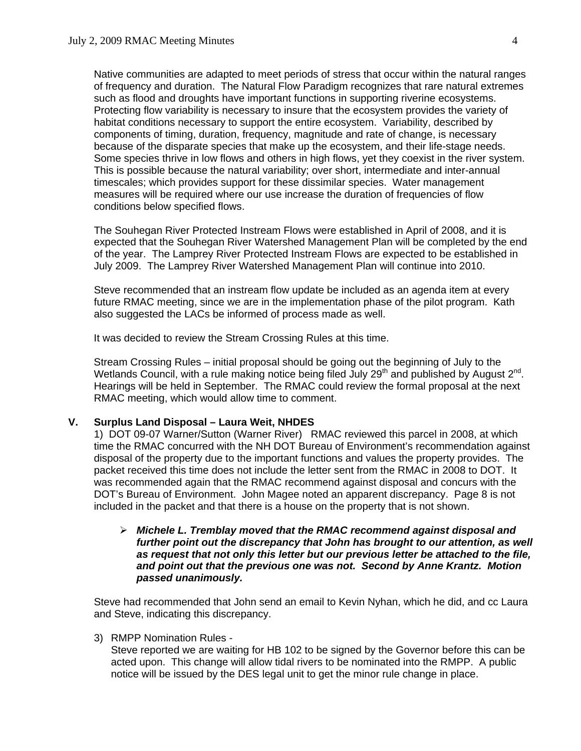Native communities are adapted to meet periods of stress that occur within the natural ranges of frequency and duration. The Natural Flow Paradigm recognizes that rare natural extremes such as flood and droughts have important functions in supporting riverine ecosystems. Protecting flow variability is necessary to insure that the ecosystem provides the variety of habitat conditions necessary to support the entire ecosystem. Variability, described by components of timing, duration, frequency, magnitude and rate of change, is necessary because of the disparate species that make up the ecosystem, and their life-stage needs. Some species thrive in low flows and others in high flows, yet they coexist in the river system. This is possible because the natural variability; over short, intermediate and inter-annual timescales; which provides support for these dissimilar species. Water management measures will be required where our use increase the duration of frequencies of flow conditions below specified flows.

The Souhegan River Protected Instream Flows were established in April of 2008, and it is expected that the Souhegan River Watershed Management Plan will be completed by the end of the year. The Lamprey River Protected Instream Flows are expected to be established in July 2009. The Lamprey River Watershed Management Plan will continue into 2010.

Steve recommended that an instream flow update be included as an agenda item at every future RMAC meeting, since we are in the implementation phase of the pilot program. Kath also suggested the LACs be informed of process made as well.

It was decided to review the Stream Crossing Rules at this time.

 Stream Crossing Rules – initial proposal should be going out the beginning of July to the Wetlands Council, with a rule making notice being filed July  $29<sup>th</sup>$  and published by August  $2<sup>nd</sup>$ . Hearings will be held in September. The RMAC could review the formal proposal at the next RMAC meeting, which would allow time to comment.

### **V. Surplus Land Disposal – Laura Weit, NHDES**

 1) DOT 09-07 Warner/Sutton (Warner River) RMAC reviewed this parcel in 2008, at which time the RMAC concurred with the NH DOT Bureau of Environment's recommendation against disposal of the property due to the important functions and values the property provides. The packet received this time does not include the letter sent from the RMAC in 2008 to DOT. It was recommended again that the RMAC recommend against disposal and concurs with the DOT's Bureau of Environment. John Magee noted an apparent discrepancy. Page 8 is not included in the packet and that there is a house on the property that is not shown.

¾ *Michele L. Tremblay moved that the RMAC recommend against disposal and further point out the discrepancy that John has brought to our attention, as well as request that not only this letter but our previous letter be attached to the file, and point out that the previous one was not. Second by Anne Krantz. Motion passed unanimously.* 

 Steve had recommended that John send an email to Kevin Nyhan, which he did, and cc Laura and Steve, indicating this discrepancy.

3) RMPP Nomination Rules -

 Steve reported we are waiting for HB 102 to be signed by the Governor before this can be acted upon. This change will allow tidal rivers to be nominated into the RMPP. A public notice will be issued by the DES legal unit to get the minor rule change in place.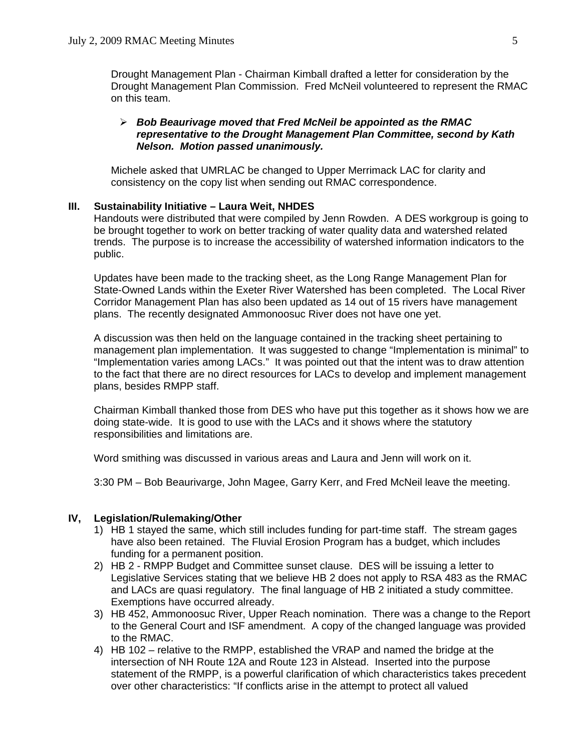Drought Management Plan - Chairman Kimball drafted a letter for consideration by the Drought Management Plan Commission. Fred McNeil volunteered to represent the RMAC on this team.

#### ¾ *Bob Beaurivage moved that Fred McNeil be appointed as the RMAC representative to the Drought Management Plan Committee, second by Kath Nelson. Motion passed unanimously.*

 Michele asked that UMRLAC be changed to Upper Merrimack LAC for clarity and consistency on the copy list when sending out RMAC correspondence.

#### **III. Sustainability Initiative – Laura Weit, NHDES**

Handouts were distributed that were compiled by Jenn Rowden. A DES workgroup is going to be brought together to work on better tracking of water quality data and watershed related trends. The purpose is to increase the accessibility of watershed information indicators to the public.

Updates have been made to the tracking sheet, as the Long Range Management Plan for State-Owned Lands within the Exeter River Watershed has been completed. The Local River Corridor Management Plan has also been updated as 14 out of 15 rivers have management plans. The recently designated Ammonoosuc River does not have one yet.

A discussion was then held on the language contained in the tracking sheet pertaining to management plan implementation. It was suggested to change "Implementation is minimal" to "Implementation varies among LACs." It was pointed out that the intent was to draw attention to the fact that there are no direct resources for LACs to develop and implement management plans, besides RMPP staff.

Chairman Kimball thanked those from DES who have put this together as it shows how we are doing state-wide. It is good to use with the LACs and it shows where the statutory responsibilities and limitations are.

Word smithing was discussed in various areas and Laura and Jenn will work on it.

3:30 PM – Bob Beaurivarge, John Magee, Garry Kerr, and Fred McNeil leave the meeting.

#### **IV, Legislation/Rulemaking/Other**

- 1) HB 1 stayed the same, which still includes funding for part-time staff. The stream gages have also been retained. The Fluvial Erosion Program has a budget, which includes funding for a permanent position.
- 2) HB 2 RMPP Budget and Committee sunset clause. DES will be issuing a letter to Legislative Services stating that we believe HB 2 does not apply to RSA 483 as the RMAC and LACs are quasi regulatory. The final language of HB 2 initiated a study committee. Exemptions have occurred already.
- 3) HB 452, Ammonoosuc River, Upper Reach nomination. There was a change to the Report to the General Court and ISF amendment. A copy of the changed language was provided to the RMAC.
- 4) HB 102 relative to the RMPP, established the VRAP and named the bridge at the intersection of NH Route 12A and Route 123 in Alstead. Inserted into the purpose statement of the RMPP, is a powerful clarification of which characteristics takes precedent over other characteristics: "If conflicts arise in the attempt to protect all valued